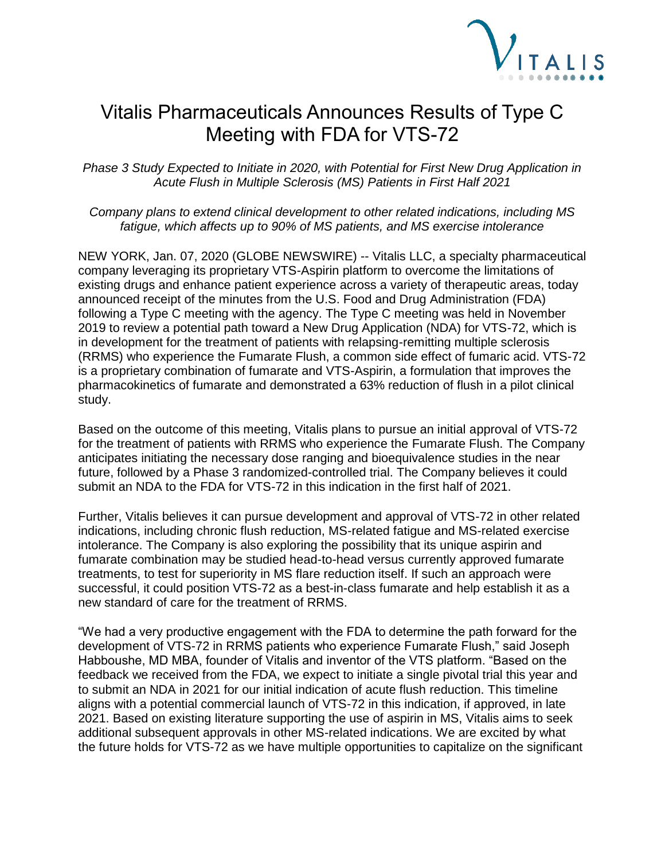

## Vitalis Pharmaceuticals Announces Results of Type C Meeting with FDA for VTS-72

*Phase 3 Study Expected to Initiate in 2020, with Potential for First New Drug Application in Acute Flush in Multiple Sclerosis (MS) Patients in First Half 2021*

*Company plans to extend clinical development to other related indications, including MS fatigue, which affects up to 90% of MS patients, and MS exercise intolerance*

NEW YORK, Jan. 07, 2020 (GLOBE NEWSWIRE) -- Vitalis LLC, a specialty pharmaceutical company leveraging its proprietary VTS-Aspirin platform to overcome the limitations of existing drugs and enhance patient experience across a variety of therapeutic areas, today announced receipt of the minutes from the U.S. Food and Drug Administration (FDA) following a Type C meeting with the agency. The Type C meeting was held in November 2019 to review a potential path toward a New Drug Application (NDA) for VTS-72, which is in development for the treatment of patients with relapsing-remitting multiple sclerosis (RRMS) who experience the Fumarate Flush, a common side effect of fumaric acid. VTS-72 is a proprietary combination of fumarate and VTS-Aspirin, a formulation that improves the pharmacokinetics of fumarate and demonstrated a 63% reduction of flush in a pilot clinical study.

Based on the outcome of this meeting, Vitalis plans to pursue an initial approval of VTS-72 for the treatment of patients with RRMS who experience the Fumarate Flush. The Company anticipates initiating the necessary dose ranging and bioequivalence studies in the near future, followed by a Phase 3 randomized-controlled trial. The Company believes it could submit an NDA to the FDA for VTS-72 in this indication in the first half of 2021.

Further, Vitalis believes it can pursue development and approval of VTS-72 in other related indications, including chronic flush reduction, MS-related fatigue and MS-related exercise intolerance. The Company is also exploring the possibility that its unique aspirin and fumarate combination may be studied head-to-head versus currently approved fumarate treatments, to test for superiority in MS flare reduction itself. If such an approach were successful, it could position VTS-72 as a best-in-class fumarate and help establish it as a new standard of care for the treatment of RRMS.

"We had a very productive engagement with the FDA to determine the path forward for the development of VTS-72 in RRMS patients who experience Fumarate Flush," said Joseph Habboushe, MD MBA, founder of Vitalis and inventor of the VTS platform. "Based on the feedback we received from the FDA, we expect to initiate a single pivotal trial this year and to submit an NDA in 2021 for our initial indication of acute flush reduction. This timeline aligns with a potential commercial launch of VTS-72 in this indication, if approved, in late 2021. Based on existing literature supporting the use of aspirin in MS, Vitalis aims to seek additional subsequent approvals in other MS-related indications. We are excited by what the future holds for VTS-72 as we have multiple opportunities to capitalize on the significant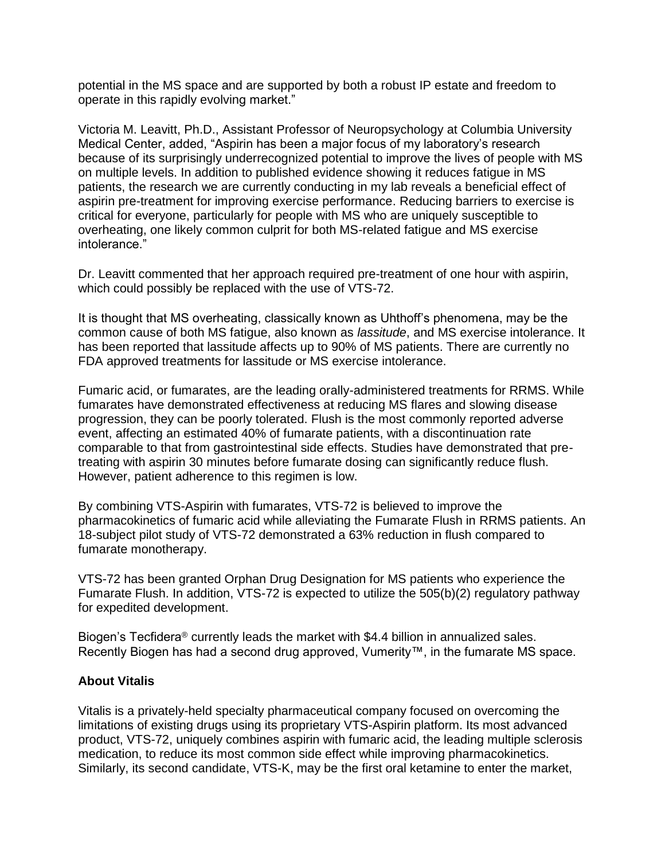potential in the MS space and are supported by both a robust IP estate and freedom to operate in this rapidly evolving market."

Victoria M. Leavitt, Ph.D., Assistant Professor of Neuropsychology at Columbia University Medical Center, added, "Aspirin has been a major focus of my laboratory's research because of its surprisingly underrecognized potential to improve the lives of people with MS on multiple levels. In addition to published evidence showing it reduces fatigue in MS patients, the research we are currently conducting in my lab reveals a beneficial effect of aspirin pre-treatment for improving exercise performance. Reducing barriers to exercise is critical for everyone, particularly for people with MS who are uniquely susceptible to overheating, one likely common culprit for both MS-related fatigue and MS exercise intolerance."

Dr. Leavitt commented that her approach required pre-treatment of one hour with aspirin, which could possibly be replaced with the use of VTS-72.

It is thought that MS overheating, classically known as Uhthoff's phenomena, may be the common cause of both MS fatigue, also known as *lassitude*, and MS exercise intolerance. It has been reported that lassitude affects up to 90% of MS patients. There are currently no FDA approved treatments for lassitude or MS exercise intolerance.

Fumaric acid, or fumarates, are the leading orally-administered treatments for RRMS. While fumarates have demonstrated effectiveness at reducing MS flares and slowing disease progression, they can be poorly tolerated. Flush is the most commonly reported adverse event, affecting an estimated 40% of fumarate patients, with a discontinuation rate comparable to that from gastrointestinal side effects. Studies have demonstrated that pretreating with aspirin 30 minutes before fumarate dosing can significantly reduce flush. However, patient adherence to this regimen is low.

By combining VTS-Aspirin with fumarates, VTS-72 is believed to improve the pharmacokinetics of fumaric acid while alleviating the Fumarate Flush in RRMS patients. An 18-subject pilot study of VTS-72 demonstrated a 63% reduction in flush compared to fumarate monotherapy.

VTS-72 has been granted Orphan Drug Designation for MS patients who experience the Fumarate Flush. In addition, VTS-72 is expected to utilize the 505(b)(2) regulatory pathway for expedited development.

Biogen's Tecfidera® currently leads the market with \$4.4 billion in annualized sales. Recently Biogen has had a second drug approved, Vumerity™, in the fumarate MS space.

## **About Vitalis**

Vitalis is a privately-held specialty pharmaceutical company focused on overcoming the limitations of existing drugs using its proprietary VTS-Aspirin platform. Its most advanced product, VTS-72, uniquely combines aspirin with fumaric acid, the leading multiple sclerosis medication, to reduce its most common side effect while improving pharmacokinetics. Similarly, its second candidate, VTS-K, may be the first oral ketamine to enter the market,